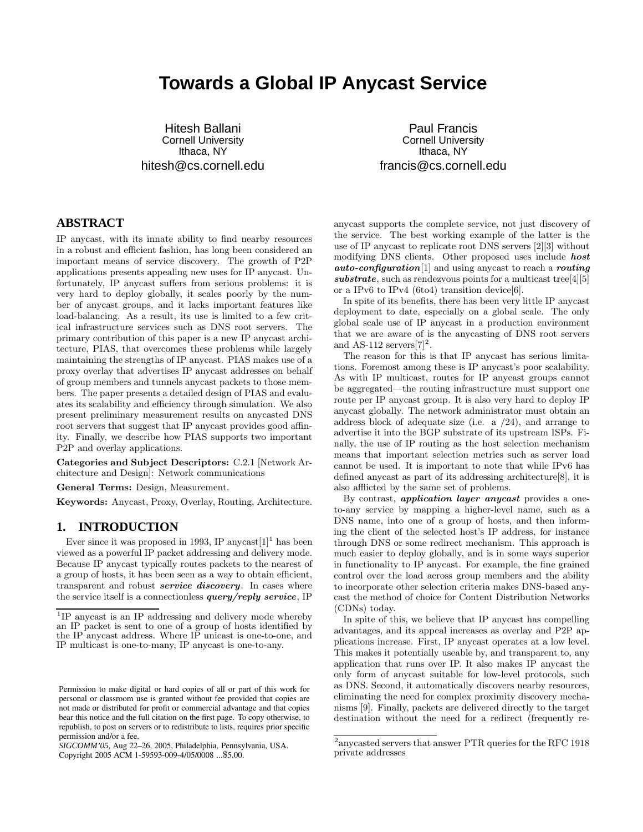# **Towards a Global IP Anycast Service**

Hitesh Ballani Cornell University Ithaca, NY hitesh@cs.cornell.edu

Paul Francis Cornell University Ithaca, NY francis@cs.cornell.edu

# **ABSTRACT**

IP anycast, with its innate ability to find nearby resources in a robust and efficient fashion, has long been considered an important means of service discovery. The growth of P2P applications presents appealing new uses for IP anycast. Unfortunately, IP anycast suffers from serious problems: it is very hard to deploy globally, it scales poorly by the number of anycast groups, and it lacks important features like load-balancing. As a result, its use is limited to a few critical infrastructure services such as DNS root servers. The primary contribution of this paper is a new IP anycast architecture, PIAS, that overcomes these problems while largely maintaining the strengths of IP anycast. PIAS makes use of a proxy overlay that advertises IP anycast addresses on behalf of group members and tunnels anycast packets to those members. The paper presents a detailed design of PIAS and evaluates its scalability and efficiency through simulation. We also present preliminary measurement results on anycasted DNS root servers that suggest that IP anycast provides good affinity. Finally, we describe how PIAS supports two important P2P and overlay applications.

Categories and Subject Descriptors: C.2.1 [Network Architecture and Design]: Network communications

General Terms: Design, Measurement.

Keywords: Anycast, Proxy, Overlay, Routing, Architecture.

## **1. INTRODUCTION**

Ever since it was proposed in 1993, IP anycast $[1]^1$  has been viewed as a powerful IP packet addressing and delivery mode. Because IP anycast typically routes packets to the nearest of a group of hosts, it has been seen as a way to obtain efficient, transparent and robust **service discovery**. In cases where the service itself is a connectionless *query/reply service*, IP

Copyright 2005 ACM 1-59593-009-4/05/0008 ...\$5.00.

anycast supports the complete service, not just discovery of the service. The best working example of the latter is the use of IP anycast to replicate root DNS servers [2][3] without modifying DNS clients. Other proposed uses include **host**  $auto\text{-}configuration[1]$  and using any cast to reach a routing substrate, such as rendezvous points for a multicast tree [4] [5] or a IPv6 to IPv4 (6to4) transition device[6].

In spite of its benefits, there has been very little IP anycast deployment to date, especially on a global scale. The only global scale use of IP anycast in a production environment that we are aware of is the anycasting of DNS root servers and AS-112 servers $[7]^2$ .

The reason for this is that IP anycast has serious limitations. Foremost among these is IP anycast's poor scalability. As with IP multicast, routes for IP anycast groups cannot be aggregated—the routing infrastructure must support one route per IP anycast group. It is also very hard to deploy IP anycast globally. The network administrator must obtain an address block of adequate size (i.e. a /24), and arrange to advertise it into the BGP substrate of its upstream ISPs. Finally, the use of IP routing as the host selection mechanism means that important selection metrics such as server load cannot be used. It is important to note that while IPv6 has defined anycast as part of its addressing architecture[8], it is also afflicted by the same set of problems.

By contrast, *application layer anycast* provides a oneto-any service by mapping a higher-level name, such as a DNS name, into one of a group of hosts, and then informing the client of the selected host's IP address, for instance through DNS or some redirect mechanism. This approach is much easier to deploy globally, and is in some ways superior in functionality to IP anycast. For example, the fine grained control over the load across group members and the ability to incorporate other selection criteria makes DNS-based anycast the method of choice for Content Distribution Networks (CDNs) today.

In spite of this, we believe that IP anycast has compelling advantages, and its appeal increases as overlay and P2P applications increase. First, IP anycast operates at a low level. This makes it potentially useable by, and transparent to, any application that runs over IP. It also makes IP anycast the only form of anycast suitable for low-level protocols, such as DNS. Second, it automatically discovers nearby resources, eliminating the need for complex proximity discovery mechanisms [9]. Finally, packets are delivered directly to the target destination without the need for a redirect (frequently re-

<sup>&</sup>lt;sup>1</sup>IP anycast is an IP addressing and delivery mode whereby an IP packet is sent to one of a group of hosts identified by the IP anycast address. Where IP unicast is one-to-one, and IP multicast is one-to-many, IP anycast is one-to-any.

Permission to make digital or hard copies of all or part of this work for personal or classroom use is granted without fee provided that copies are not made or distributed for profit or commercial advantage and that copies bear this notice and the full citation on the first page. To copy otherwise, to republish, to post on servers or to redistribute to lists, requires prior specific permission and/or a fee.

*SIGCOMM'05,* Aug 22–26, 2005, Philadelphia, Pennsylvania, USA.

<sup>&</sup>lt;sup>2</sup> any casted servers that answer PTR queries for the RFC 1918 private addresses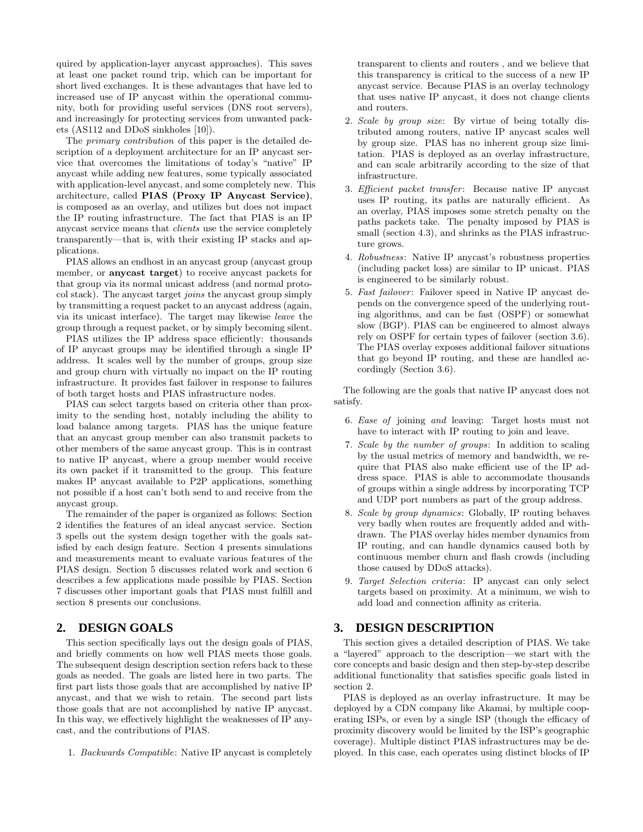quired by application-layer anycast approaches). This saves at least one packet round trip, which can be important for short lived exchanges. It is these advantages that have led to increased use of IP anycast within the operational community, both for providing useful services (DNS root servers), and increasingly for protecting services from unwanted packets (AS112 and DDoS sinkholes [10]).

The *primary contribution* of this paper is the detailed description of a deployment architecture for an IP anycast service that overcomes the limitations of today's "native" IP anycast while adding new features, some typically associated with application-level anycast, and some completely new. This architecture, called PIAS (Proxy IP Anycast Service), is composed as an overlay, and utilizes but does not impact the IP routing infrastructure. The fact that PIAS is an IP anycast service means that clients use the service completely transparently—that is, with their existing IP stacks and applications.

PIAS allows an endhost in an anycast group (anycast group member, or anycast target) to receive anycast packets for that group via its normal unicast address (and normal protocol stack). The anycast target joins the anycast group simply by transmitting a request packet to an anycast address (again, via its unicast interface). The target may likewise leave the group through a request packet, or by simply becoming silent.

PIAS utilizes the IP address space efficiently: thousands of IP anycast groups may be identified through a single IP address. It scales well by the number of groups, group size and group churn with virtually no impact on the IP routing infrastructure. It provides fast failover in response to failures of both target hosts and PIAS infrastructure nodes.

PIAS can select targets based on criteria other than proximity to the sending host, notably including the ability to load balance among targets. PIAS has the unique feature that an anycast group member can also transmit packets to other members of the same anycast group. This is in contrast to native IP anycast, where a group member would receive its own packet if it transmitted to the group. This feature makes IP anycast available to P2P applications, something not possible if a host can't both send to and receive from the anycast group.

The remainder of the paper is organized as follows: Section 2 identifies the features of an ideal anycast service. Section 3 spells out the system design together with the goals satisfied by each design feature. Section 4 presents simulations and measurements meant to evaluate various features of the PIAS design. Section 5 discusses related work and section 6 describes a few applications made possible by PIAS. Section 7 discusses other important goals that PIAS must fulfill and section 8 presents our conclusions.

# **2. DESIGN GOALS**

This section specifically lays out the design goals of PIAS, and briefly comments on how well PIAS meets those goals. The subsequent design description section refers back to these goals as needed. The goals are listed here in two parts. The first part lists those goals that are accomplished by native IP anycast, and that we wish to retain. The second part lists those goals that are not accomplished by native IP anycast. In this way, we effectively highlight the weaknesses of IP anycast, and the contributions of PIAS.

1. Backwards Compatible: Native IP anycast is completely

transparent to clients and routers , and we believe that this transparency is critical to the success of a new IP anycast service. Because PIAS is an overlay technology that uses native IP anycast, it does not change clients and routers.

- 2. Scale by group size: By virtue of being totally distributed among routers, native IP anycast scales well by group size. PIAS has no inherent group size limitation. PIAS is deployed as an overlay infrastructure, and can scale arbitrarily according to the size of that infrastructure.
- 3. Efficient packet transfer: Because native IP anycast uses IP routing, its paths are naturally efficient. As an overlay, PIAS imposes some stretch penalty on the paths packets take. The penalty imposed by PIAS is small (section 4.3), and shrinks as the PIAS infrastructure grows.
- 4. Robustness: Native IP anycast's robustness properties (including packet loss) are similar to IP unicast. PIAS is engineered to be similarly robust.
- 5. Fast failover : Failover speed in Native IP anycast depends on the convergence speed of the underlying routing algorithms, and can be fast (OSPF) or somewhat slow (BGP). PIAS can be engineered to almost always rely on OSPF for certain types of failover (section 3.6). The PIAS overlay exposes additional failover situations that go beyond IP routing, and these are handled accordingly (Section 3.6).

The following are the goals that native IP anycast does not satisfy.

- 6. Ease of joining and leaving: Target hosts must not have to interact with IP routing to join and leave.
- 7. Scale by the number of groups: In addition to scaling by the usual metrics of memory and bandwidth, we require that PIAS also make efficient use of the IP address space. PIAS is able to accommodate thousands of groups within a single address by incorporating TCP and UDP port numbers as part of the group address.
- 8. Scale by group dynamics: Globally, IP routing behaves very badly when routes are frequently added and withdrawn. The PIAS overlay hides member dynamics from IP routing, and can handle dynamics caused both by continuous member churn and flash crowds (including those caused by DDoS attacks).
- 9. Target Selection criteria: IP anycast can only select targets based on proximity. At a minimum, we wish to add load and connection affinity as criteria.

# **3. DESIGN DESCRIPTION**

This section gives a detailed description of PIAS. We take a "layered" approach to the description—we start with the core concepts and basic design and then step-by-step describe additional functionality that satisfies specific goals listed in section 2.

PIAS is deployed as an overlay infrastructure. It may be deployed by a CDN company like Akamai, by multiple cooperating ISPs, or even by a single ISP (though the efficacy of proximity discovery would be limited by the ISP's geographic coverage). Multiple distinct PIAS infrastructures may be deployed. In this case, each operates using distinct blocks of IP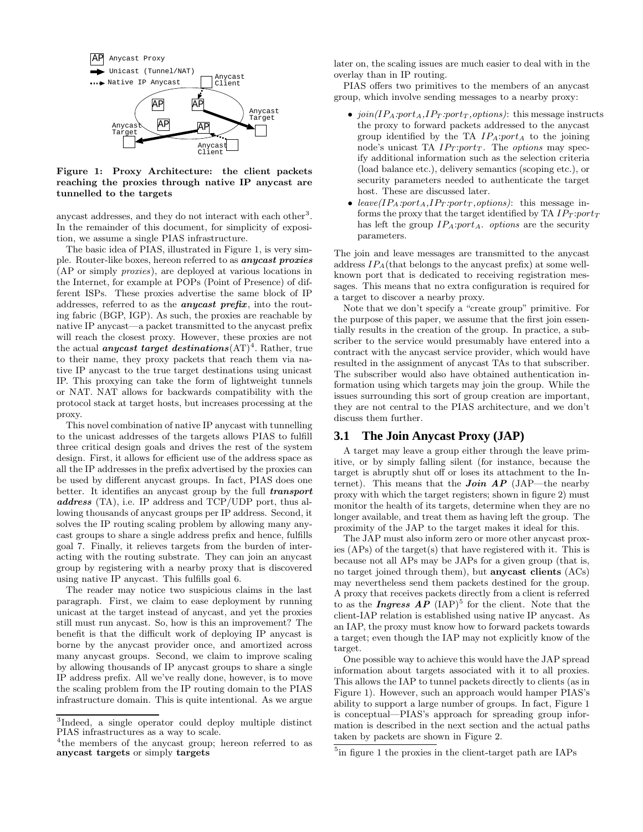

Figure 1: Proxy Architecture: the client packets reaching the proxies through native IP anycast are tunnelled to the targets

anycast addresses, and they do not interact with each other<sup>3</sup>. In the remainder of this document, for simplicity of exposition, we assume a single PIAS infrastructure.

The basic idea of PIAS, illustrated in Figure 1, is very simple. Router-like boxes, hereon referred to as anycast proxies (AP or simply proxies), are deployed at various locations in the Internet, for example at POPs (Point of Presence) of different ISPs. These proxies advertise the same block of IP addresses, referred to as the *anycast prefix*, into the routing fabric (BGP, IGP). As such, the proxies are reachable by native IP anycast—a packet transmitted to the anycast prefix will reach the closest proxy. However, these proxies are not the actual *anycast target destinations*  $(AT)^4$ . Rather, true to their name, they proxy packets that reach them via native IP anycast to the true target destinations using unicast IP. This proxying can take the form of lightweight tunnels or NAT. NAT allows for backwards compatibility with the protocol stack at target hosts, but increases processing at the proxy.

This novel combination of native IP anycast with tunnelling to the unicast addresses of the targets allows PIAS to fulfill three critical design goals and drives the rest of the system design. First, it allows for efficient use of the address space as all the IP addresses in the prefix advertised by the proxies can be used by different anycast groups. In fact, PIAS does one better. It identifies an anycast group by the full **transport** address (TA), i.e. IP address and TCP/UDP port, thus allowing thousands of anycast groups per IP address. Second, it solves the IP routing scaling problem by allowing many anycast groups to share a single address prefix and hence, fulfills goal 7. Finally, it relieves targets from the burden of interacting with the routing substrate. They can join an anycast group by registering with a nearby proxy that is discovered using native IP anycast. This fulfills goal 6.

The reader may notice two suspicious claims in the last paragraph. First, we claim to ease deployment by running unicast at the target instead of anycast, and yet the proxies still must run anycast. So, how is this an improvement? The benefit is that the difficult work of deploying IP anycast is borne by the anycast provider once, and amortized across many anycast groups. Second, we claim to improve scaling by allowing thousands of IP anycast groups to share a single IP address prefix. All we've really done, however, is to move the scaling problem from the IP routing domain to the PIAS infrastructure domain. This is quite intentional. As we argue

later on, the scaling issues are much easier to deal with in the overlay than in IP routing.

PIAS offers two primitives to the members of an anycast group, which involve sending messages to a nearby proxy:

- join(IP<sub>A</sub>:port<sub>A</sub>,IP<sub>T</sub>:port<sub>T</sub>,options): this message instructs the proxy to forward packets addressed to the anycast group identified by the TA  $IP_A: port_A$  to the joining node's unicast TA  $IP_T: port_T$ . The *options* may specify additional information such as the selection criteria (load balance etc.), delivery semantics (scoping etc.), or security parameters needed to authenticate the target host. These are discussed later.
- leave(IP<sub>A</sub>: $port_A, IP_T: port_T, options$ ): this message informs the proxy that the target identified by TA  $IP_T: port_T$ has left the group  $IP_A: port_A$ . options are the security parameters.

The join and leave messages are transmitted to the anycast address  $IP_A$ (that belongs to the anycast prefix) at some wellknown port that is dedicated to receiving registration messages. This means that no extra configuration is required for a target to discover a nearby proxy.

Note that we don't specify a "create group" primitive. For the purpose of this paper, we assume that the first join essentially results in the creation of the group. In practice, a subscriber to the service would presumably have entered into a contract with the anycast service provider, which would have resulted in the assignment of anycast TAs to that subscriber. The subscriber would also have obtained authentication information using which targets may join the group. While the issues surrounding this sort of group creation are important, they are not central to the PIAS architecture, and we don't discuss them further.

## **3.1 The Join Anycast Proxy (JAP)**

A target may leave a group either through the leave primitive, or by simply falling silent (for instance, because the target is abruptly shut off or loses its attachment to the Internet). This means that the **Join AP** (JAP—the nearby proxy with which the target registers; shown in figure 2) must monitor the health of its targets, determine when they are no longer available, and treat them as having left the group. The proximity of the JAP to the target makes it ideal for this.

The JAP must also inform zero or more other anycast proxies (APs) of the target(s) that have registered with it. This is because not all APs may be JAPs for a given group (that is, no target joined through them), but anycast clients (ACs) may nevertheless send them packets destined for the group. A proxy that receives packets directly from a client is referred to as the *Ingress*  $\overrightarrow{AP}$  (IAP)<sup>5</sup> for the client. Note that the client-IAP relation is established using native IP anycast. As an IAP, the proxy must know how to forward packets towards a target; even though the IAP may not explicitly know of the target.

One possible way to achieve this would have the JAP spread information about targets associated with it to all proxies. This allows the IAP to tunnel packets directly to clients (as in Figure 1). However, such an approach would hamper PIAS's ability to support a large number of groups. In fact, Figure 1 is conceptual—PIAS's approach for spreading group information is described in the next section and the actual paths taken by packets are shown in Figure 2.

<sup>5</sup>in figure 1 the proxies in the client-target path are IAPs

<sup>3</sup> Indeed, a single operator could deploy multiple distinct PIAS infrastructures as a way to scale.

<sup>4</sup> the members of the anycast group; hereon referred to as anycast targets or simply targets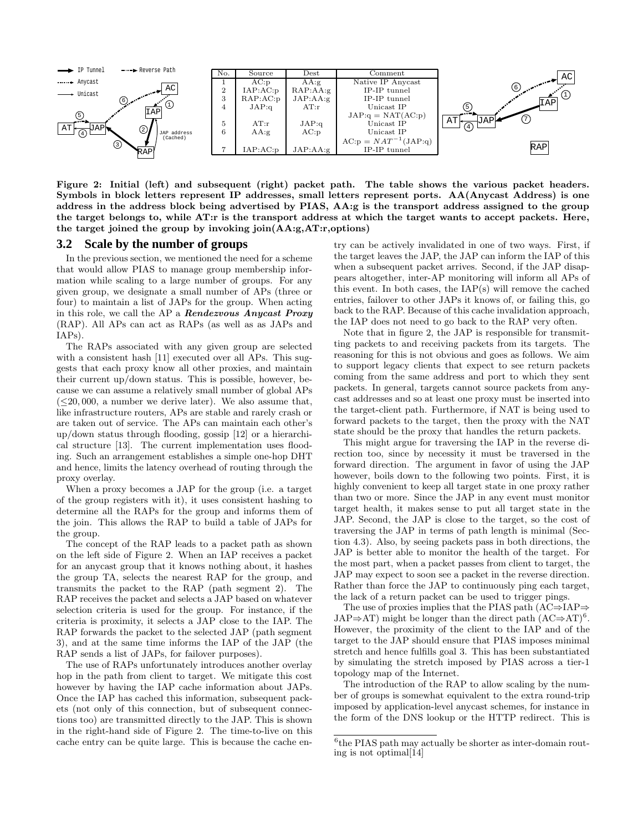

Figure 2: Initial (left) and subsequent (right) packet path. The table shows the various packet headers. Symbols in block letters represent IP addresses, small letters represent ports. AA(Anycast Address) is one address in the address block being advertised by PIAS, AA:g is the transport address assigned to the group the target belongs to, while AT:r is the transport address at which the target wants to accept packets. Here, the target joined the group by invoking join(AA:g,AT:r,options)

#### **3.2 Scale by the number of groups**

In the previous section, we mentioned the need for a scheme that would allow PIAS to manage group membership information while scaling to a large number of groups. For any given group, we designate a small number of APs (three or four) to maintain a list of JAPs for the group. When acting in this role, we call the AP a Rendezvous Anycast Proxy (RAP). All APs can act as RAPs (as well as as JAPs and IAPs).

The RAPs associated with any given group are selected with a consistent hash [11] executed over all APs. This suggests that each proxy know all other proxies, and maintain their current up/down status. This is possible, however, because we can assume a relatively small number of global APs  $( $20,000$ , a number we derive later). We also assume that,$ like infrastructure routers, APs are stable and rarely crash or are taken out of service. The APs can maintain each other's up/down status through flooding, gossip [12] or a hierarchical structure [13]. The current implementation uses flooding. Such an arrangement establishes a simple one-hop DHT and hence, limits the latency overhead of routing through the proxy overlay.

When a proxy becomes a JAP for the group (i.e. a target of the group registers with it), it uses consistent hashing to determine all the RAPs for the group and informs them of the join. This allows the RAP to build a table of JAPs for the group.

The concept of the RAP leads to a packet path as shown on the left side of Figure 2. When an IAP receives a packet for an anycast group that it knows nothing about, it hashes the group TA, selects the nearest RAP for the group, and transmits the packet to the RAP (path segment 2). The RAP receives the packet and selects a JAP based on whatever selection criteria is used for the group. For instance, if the criteria is proximity, it selects a JAP close to the IAP. The RAP forwards the packet to the selected JAP (path segment 3), and at the same time informs the IAP of the JAP (the RAP sends a list of JAPs, for failover purposes).

The use of RAPs unfortunately introduces another overlay hop in the path from client to target. We mitigate this cost however by having the IAP cache information about JAPs. Once the IAP has cached this information, subsequent packets (not only of this connection, but of subsequent connections too) are transmitted directly to the JAP. This is shown in the right-hand side of Figure 2. The time-to-live on this cache entry can be quite large. This is because the cache entry can be actively invalidated in one of two ways. First, if the target leaves the JAP, the JAP can inform the IAP of this when a subsequent packet arrives. Second, if the JAP disappears altogether, inter-AP monitoring will inform all APs of this event. In both cases, the IAP(s) will remove the cached entries, failover to other JAPs it knows of, or failing this, go back to the RAP. Because of this cache invalidation approach, the IAP does not need to go back to the RAP very often.

Note that in figure 2, the JAP is responsible for transmitting packets to and receiving packets from its targets. The reasoning for this is not obvious and goes as follows. We aim to support legacy clients that expect to see return packets coming from the same address and port to which they sent packets. In general, targets cannot source packets from anycast addresses and so at least one proxy must be inserted into the target-client path. Furthermore, if NAT is being used to forward packets to the target, then the proxy with the NAT state should be the proxy that handles the return packets.

This might argue for traversing the IAP in the reverse direction too, since by necessity it must be traversed in the forward direction. The argument in favor of using the JAP however, boils down to the following two points. First, it is highly convenient to keep all target state in one proxy rather than two or more. Since the JAP in any event must monitor target health, it makes sense to put all target state in the JAP. Second, the JAP is close to the target, so the cost of traversing the JAP in terms of path length is minimal (Section 4.3). Also, by seeing packets pass in both directions, the JAP is better able to monitor the health of the target. For the most part, when a packet passes from client to target, the JAP may expect to soon see a packet in the reverse direction. Rather than force the JAP to continuously ping each target, the lack of a return packet can be used to trigger pings.

The use of proxies implies that the PIAS path (AC⇒IAP⇒  $JAP \Rightarrow AT$ ) might be longer than the direct path  $(AC \Rightarrow AT)^6$ . However, the proximity of the client to the IAP and of the target to the JAP should ensure that PIAS imposes minimal stretch and hence fulfills goal 3. This has been substantiated by simulating the stretch imposed by PIAS across a tier-1 topology map of the Internet.

The introduction of the RAP to allow scaling by the number of groups is somewhat equivalent to the extra round-trip imposed by application-level anycast schemes, for instance in the form of the DNS lookup or the HTTP redirect. This is

<sup>&</sup>lt;sup>6</sup>the PIAS path may actually be shorter as inter-domain routing is not optimal[14]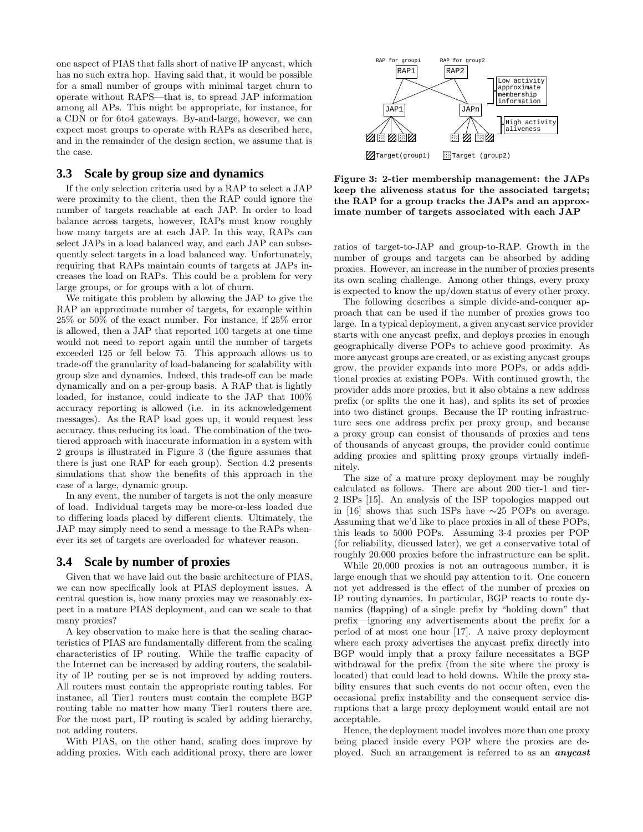one aspect of PIAS that falls short of native IP anycast, which has no such extra hop. Having said that, it would be possible for a small number of groups with minimal target churn to operate without RAPS—that is, to spread JAP information among all APs. This might be appropriate, for instance, for a CDN or for 6to4 gateways. By-and-large, however, we can expect most groups to operate with RAPs as described here, and in the remainder of the design section, we assume that is the case.

## **3.3 Scale by group size and dynamics**

If the only selection criteria used by a RAP to select a JAP were proximity to the client, then the RAP could ignore the number of targets reachable at each JAP. In order to load balance across targets, however, RAPs must know roughly how many targets are at each JAP. In this way, RAPs can select JAPs in a load balanced way, and each JAP can subsequently select targets in a load balanced way. Unfortunately, requiring that RAPs maintain counts of targets at JAPs increases the load on RAPs. This could be a problem for very large groups, or for groups with a lot of churn.

We mitigate this problem by allowing the JAP to give the RAP an approximate number of targets, for example within 25% or 50% of the exact number. For instance, if 25% error is allowed, then a JAP that reported 100 targets at one time would not need to report again until the number of targets exceeded 125 or fell below 75. This approach allows us to trade-off the granularity of load-balancing for scalability with group size and dynamics. Indeed, this trade-off can be made dynamically and on a per-group basis. A RAP that is lightly loaded, for instance, could indicate to the JAP that 100% accuracy reporting is allowed (i.e. in its acknowledgement messages). As the RAP load goes up, it would request less accuracy, thus reducing its load. The combination of the twotiered approach with inaccurate information in a system with 2 groups is illustrated in Figure 3 (the figure assumes that there is just one RAP for each group). Section 4.2 presents simulations that show the benefits of this approach in the case of a large, dynamic group.

In any event, the number of targets is not the only measure of load. Individual targets may be more-or-less loaded due to differing loads placed by different clients. Ultimately, the JAP may simply need to send a message to the RAPs whenever its set of targets are overloaded for whatever reason.

#### **3.4 Scale by number of proxies**

Given that we have laid out the basic architecture of PIAS, we can now specifically look at PIAS deployment issues. A central question is, how many proxies may we reasonably expect in a mature PIAS deployment, and can we scale to that many proxies?

A key observation to make here is that the scaling characteristics of PIAS are fundamentally different from the scaling characteristics of IP routing. While the traffic capacity of the Internet can be increased by adding routers, the scalability of IP routing per se is not improved by adding routers. All routers must contain the appropriate routing tables. For instance, all Tier1 routers must contain the complete BGP routing table no matter how many Tier1 routers there are. For the most part, IP routing is scaled by adding hierarchy, not adding routers.

With PIAS, on the other hand, scaling does improve by adding proxies. With each additional proxy, there are lower



Figure 3: 2-tier membership management: the JAPs keep the aliveness status for the associated targets; the RAP for a group tracks the JAPs and an approximate number of targets associated with each JAP

ratios of target-to-JAP and group-to-RAP. Growth in the number of groups and targets can be absorbed by adding proxies. However, an increase in the number of proxies presents its own scaling challenge. Among other things, every proxy is expected to know the up/down status of every other proxy.

The following describes a simple divide-and-conquer approach that can be used if the number of proxies grows too large. In a typical deployment, a given anycast service provider starts with one anycast prefix, and deploys proxies in enough geographically diverse POPs to achieve good proximity. As more anycast groups are created, or as existing anycast groups grow, the provider expands into more POPs, or adds additional proxies at existing POPs. With continued growth, the provider adds more proxies, but it also obtains a new address prefix (or splits the one it has), and splits its set of proxies into two distinct groups. Because the IP routing infrastructure sees one address prefix per proxy group, and because a proxy group can consist of thousands of proxies and tens of thousands of anycast groups, the provider could continue adding proxies and splitting proxy groups virtually indefinitely.

The size of a mature proxy deployment may be roughly calculated as follows. There are about 200 tier-1 and tier-2 ISPs [15]. An analysis of the ISP topologies mapped out in [16] shows that such ISPs have ∼25 POPs on average. Assuming that we'd like to place proxies in all of these POPs, this leads to 5000 POPs. Assuming 3-4 proxies per POP (for reliability, dicussed later), we get a conservative total of roughly 20,000 proxies before the infrastructure can be split.

While 20,000 proxies is not an outrageous number, it is large enough that we should pay attention to it. One concern not yet addressed is the effect of the number of proxies on IP routing dynamics. In particular, BGP reacts to route dynamics (flapping) of a single prefix by "holding down" that prefix—ignoring any advertisements about the prefix for a period of at most one hour [17]. A naive proxy deployment where each proxy advertises the anycast prefix directly into BGP would imply that a proxy failure necessitates a BGP withdrawal for the prefix (from the site where the proxy is located) that could lead to hold downs. While the proxy stability ensures that such events do not occur often, even the occasional prefix instability and the consequent service disruptions that a large proxy deployment would entail are not acceptable.

Hence, the deployment model involves more than one proxy being placed inside every POP where the proxies are deployed. Such an arrangement is referred to as an anycast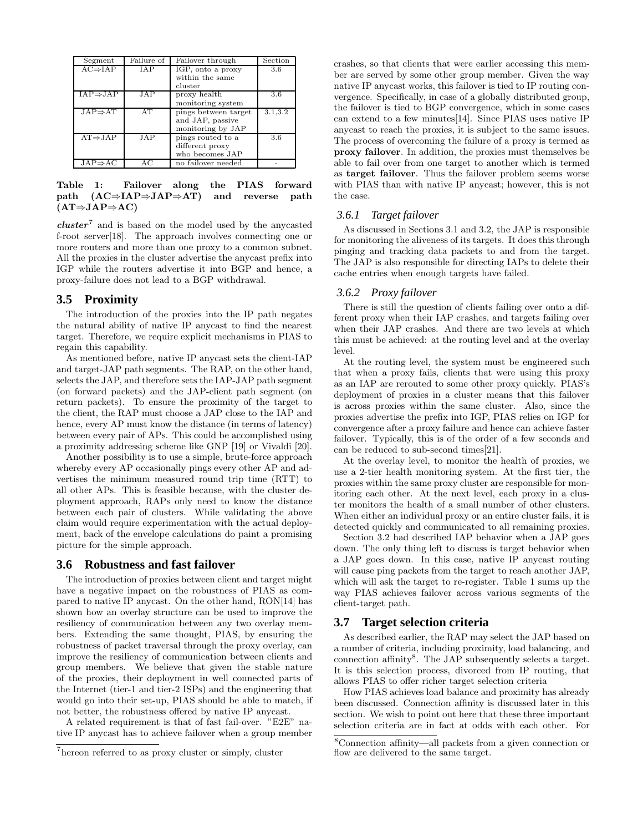| Segment               | Failure of | Failover through                                              | Section |
|-----------------------|------------|---------------------------------------------------------------|---------|
| $AC \rightarrow IAP$  | <b>TAP</b> | IGP, onto a proxy<br>within the same<br>cluster               | 3.6     |
| $IAP \Rightarrow JAP$ | JAP        | proxy health<br>monitoring system                             | 3.6     |
| $JAP \Rightarrow AT$  | AT         | pings between target<br>and JAP, passive<br>monitoring by JAP | 3.1.3.2 |
| $AT \Rightarrow JAP$  | JAP        | pings routed to a<br>different proxy<br>who becomes JAP       | 3.6     |
| $JAP \Rightarrow AC$  | AC         | no failover needed                                            |         |

Table 1: Failover along the PIAS forward path (AC⇒IAP⇒JAP⇒AT) and reverse path  $(AT \Rightarrow JAP \Rightarrow AC)$ 

 $cluster<sup>7</sup>$  and is based on the model used by the any casted f-root server[18]. The approach involves connecting one or more routers and more than one proxy to a common subnet. All the proxies in the cluster advertise the anycast prefix into IGP while the routers advertise it into BGP and hence, a proxy-failure does not lead to a BGP withdrawal.

## **3.5 Proximity**

The introduction of the proxies into the IP path negates the natural ability of native IP anycast to find the nearest target. Therefore, we require explicit mechanisms in PIAS to regain this capability.

As mentioned before, native IP anycast sets the client-IAP and target-JAP path segments. The RAP, on the other hand, selects the JAP, and therefore sets the IAP-JAP path segment (on forward packets) and the JAP-client path segment (on return packets). To ensure the proximity of the target to the client, the RAP must choose a JAP close to the IAP and hence, every AP must know the distance (in terms of latency) between every pair of APs. This could be accomplished using a proximity addressing scheme like GNP [19] or Vivaldi [20].

Another possibility is to use a simple, brute-force approach whereby every AP occasionally pings every other AP and advertises the minimum measured round trip time (RTT) to all other APs. This is feasible because, with the cluster deployment approach, RAPs only need to know the distance between each pair of clusters. While validating the above claim would require experimentation with the actual deployment, back of the envelope calculations do paint a promising picture for the simple approach.

## **3.6 Robustness and fast failover**

The introduction of proxies between client and target might have a negative impact on the robustness of PIAS as compared to native IP anycast. On the other hand, RON[14] has shown how an overlay structure can be used to improve the resiliency of communication between any two overlay members. Extending the same thought, PIAS, by ensuring the robustness of packet traversal through the proxy overlay, can improve the resiliency of communication between clients and group members. We believe that given the stable nature of the proxies, their deployment in well connected parts of the Internet (tier-1 and tier-2 ISPs) and the engineering that would go into their set-up, PIAS should be able to match, if not better, the robustness offered by native IP anycast.

A related requirement is that of fast fail-over. "E2E" native IP anycast has to achieve failover when a group member

crashes, so that clients that were earlier accessing this member are served by some other group member. Given the way native IP anycast works, this failover is tied to IP routing convergence. Specifically, in case of a globally distributed group, the failover is tied to BGP convergence, which in some cases can extend to a few minutes[14]. Since PIAS uses native IP anycast to reach the proxies, it is subject to the same issues. The process of overcoming the failure of a proxy is termed as proxy failover. In addition, the proxies must themselves be able to fail over from one target to another which is termed as target failover. Thus the failover problem seems worse with PIAS than with native IP anycast; however, this is not the case.

#### *3.6.1 Target failover*

As discussed in Sections 3.1 and 3.2, the JAP is responsible for monitoring the aliveness of its targets. It does this through pinging and tracking data packets to and from the target. The JAP is also responsible for directing IAPs to delete their cache entries when enough targets have failed.

#### *3.6.2 Proxy failover*

There is still the question of clients failing over onto a different proxy when their IAP crashes, and targets failing over when their JAP crashes. And there are two levels at which this must be achieved: at the routing level and at the overlay level.

At the routing level, the system must be engineered such that when a proxy fails, clients that were using this proxy as an IAP are rerouted to some other proxy quickly. PIAS's deployment of proxies in a cluster means that this failover is across proxies within the same cluster. Also, since the proxies advertise the prefix into IGP, PIAS relies on IGP for convergence after a proxy failure and hence can achieve faster failover. Typically, this is of the order of a few seconds and can be reduced to sub-second times[21].

At the overlay level, to monitor the health of proxies, we use a 2-tier health monitoring system. At the first tier, the proxies within the same proxy cluster are responsible for monitoring each other. At the next level, each proxy in a cluster monitors the health of a small number of other clusters. When either an individual proxy or an entire cluster fails, it is detected quickly and communicated to all remaining proxies.

Section 3.2 had described IAP behavior when a JAP goes down. The only thing left to discuss is target behavior when a JAP goes down. In this case, native IP anycast routing will cause ping packets from the target to reach another JAP, which will ask the target to re-register. Table 1 sums up the way PIAS achieves failover across various segments of the client-target path.

#### **3.7 Target selection criteria**

As described earlier, the RAP may select the JAP based on a number of criteria, including proximity, load balancing, and connection affinity<sup>8</sup>. The JAP subsequently selects a target. It is this selection process, divorced from IP routing, that allows PIAS to offer richer target selection criteria

How PIAS achieves load balance and proximity has already been discussed. Connection affinity is discussed later in this section. We wish to point out here that these three important selection criteria are in fact at odds with each other. For

<sup>7</sup>hereon referred to as proxy cluster or simply, cluster

<sup>8</sup>Connection affinity—all packets from a given connection or flow are delivered to the same target.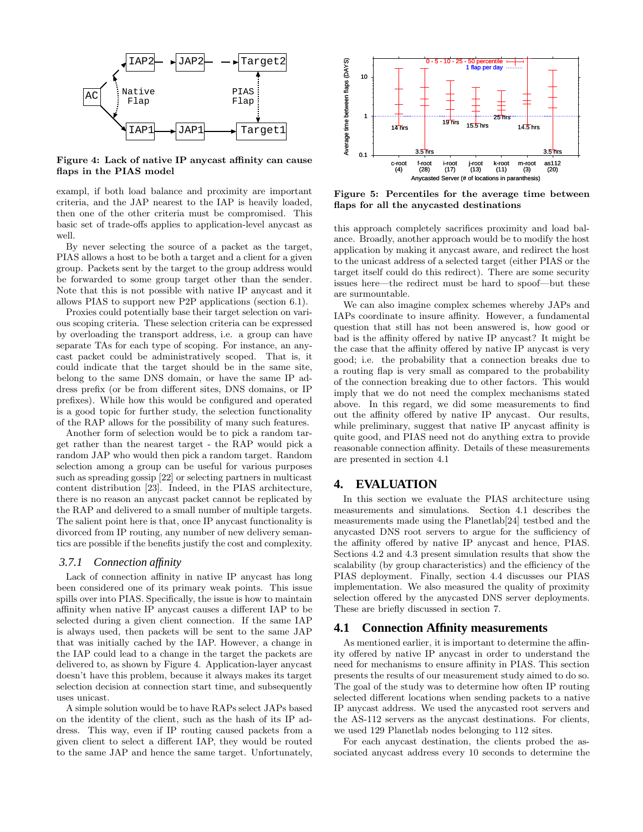

Figure 4: Lack of native IP anycast affinity can cause flaps in the PIAS model

exampl, if both load balance and proximity are important criteria, and the JAP nearest to the IAP is heavily loaded, then one of the other criteria must be compromised. This basic set of trade-offs applies to application-level anycast as well.

By never selecting the source of a packet as the target, PIAS allows a host to be both a target and a client for a given group. Packets sent by the target to the group address would be forwarded to some group target other than the sender. Note that this is not possible with native IP anycast and it allows PIAS to support new P2P applications (section 6.1).

Proxies could potentially base their target selection on various scoping criteria. These selection criteria can be expressed by overloading the transport address, i.e. a group can have separate TAs for each type of scoping. For instance, an anycast packet could be administratively scoped. That is, it could indicate that the target should be in the same site, belong to the same DNS domain, or have the same IP address prefix (or be from different sites, DNS domains, or IP prefixes). While how this would be configured and operated is a good topic for further study, the selection functionality of the RAP allows for the possibility of many such features.

Another form of selection would be to pick a random target rather than the nearest target - the RAP would pick a random JAP who would then pick a random target. Random selection among a group can be useful for various purposes such as spreading gossip [22] or selecting partners in multicast content distribution [23]. Indeed, in the PIAS architecture, there is no reason an anycast packet cannot be replicated by the RAP and delivered to a small number of multiple targets. The salient point here is that, once IP anycast functionality is divorced from IP routing, any number of new delivery semantics are possible if the benefits justify the cost and complexity.

#### *3.7.1 Connection affinity*

Lack of connection affinity in native IP anycast has long been considered one of its primary weak points. This issue spills over into PIAS. Specifically, the issue is how to maintain affinity when native IP anycast causes a different IAP to be selected during a given client connection. If the same IAP is always used, then packets will be sent to the same JAP that was initially cached by the IAP. However, a change in the IAP could lead to a change in the target the packets are delivered to, as shown by Figure 4. Application-layer anycast doesn't have this problem, because it always makes its target selection decision at connection start time, and subsequently uses unicast.

A simple solution would be to have RAPs select JAPs based on the identity of the client, such as the hash of its IP address. This way, even if IP routing caused packets from a given client to select a different IAP, they would be routed to the same JAP and hence the same target. Unfortunately,



Figure 5: Percentiles for the average time between flaps for all the anycasted destinations

this approach completely sacrifices proximity and load balance. Broadly, another approach would be to modify the host application by making it anycast aware, and redirect the host to the unicast address of a selected target (either PIAS or the target itself could do this redirect). There are some security issues here—the redirect must be hard to spoof—but these are surmountable.

We can also imagine complex schemes whereby JAPs and IAPs coordinate to insure affinity. However, a fundamental question that still has not been answered is, how good or bad is the affinity offered by native IP anycast? It might be the case that the affinity offered by native IP anycast is very good; i.e. the probability that a connection breaks due to a routing flap is very small as compared to the probability of the connection breaking due to other factors. This would imply that we do not need the complex mechanisms stated above. In this regard, we did some measurements to find out the affinity offered by native IP anycast. Our results, while preliminary, suggest that native IP anycast affinity is quite good, and PIAS need not do anything extra to provide reasonable connection affinity. Details of these measurements are presented in section 4.1

## **4. EVALUATION**

In this section we evaluate the PIAS architecture using measurements and simulations. Section 4.1 describes the measurements made using the Planetlab[24] testbed and the anycasted DNS root servers to argue for the sufficiency of the affinity offered by native IP anycast and hence, PIAS. Sections 4.2 and 4.3 present simulation results that show the scalability (by group characteristics) and the efficiency of the PIAS deployment. Finally, section 4.4 discusses our PIAS implementation. We also measured the quality of proximity selection offered by the anycasted DNS server deployments. These are briefly discussed in section 7.

#### **4.1 Connection Affinity measurements**

As mentioned earlier, it is important to determine the affinity offered by native IP anycast in order to understand the need for mechanisms to ensure affinity in PIAS. This section presents the results of our measurement study aimed to do so. The goal of the study was to determine how often IP routing selected different locations when sending packets to a native IP anycast address. We used the anycasted root servers and the AS-112 servers as the anycast destinations. For clients, we used 129 Planetlab nodes belonging to 112 sites.

For each anycast destination, the clients probed the associated anycast address every 10 seconds to determine the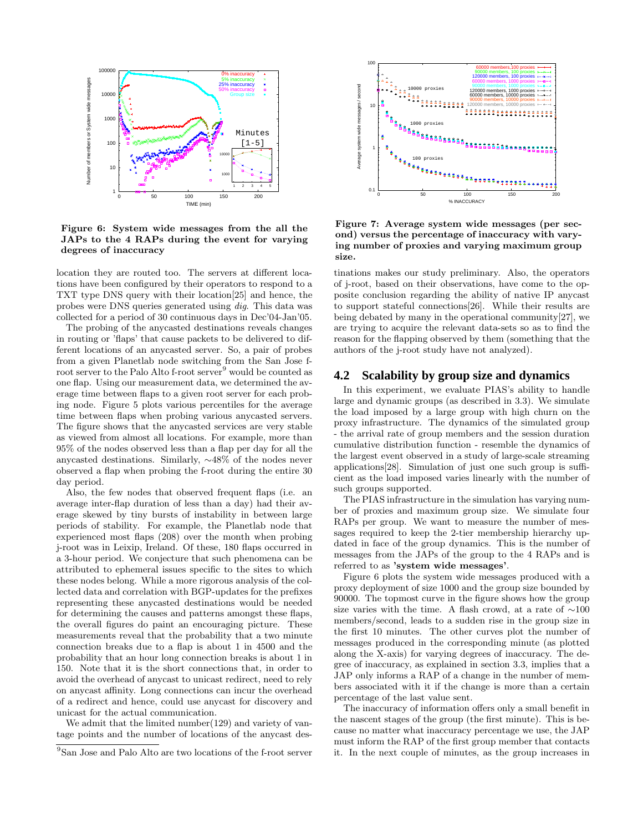

Figure 6: System wide messages from the all the JAPs to the 4 RAPs during the event for varying degrees of inaccuracy

location they are routed too. The servers at different locations have been configured by their operators to respond to a TXT type DNS query with their location[25] and hence, the probes were DNS queries generated using dig. This data was collected for a period of 30 continuous days in Dec'04-Jan'05.

The probing of the anycasted destinations reveals changes in routing or 'flaps' that cause packets to be delivered to different locations of an anycasted server. So, a pair of probes from a given Planetlab node switching from the San Jose froot server to the Palo Alto f-root server<sup>9</sup> would be counted as one flap. Using our measurement data, we determined the average time between flaps to a given root server for each probing node. Figure 5 plots various percentiles for the average time between flaps when probing various anycasted servers. The figure shows that the anycasted services are very stable as viewed from almost all locations. For example, more than 95% of the nodes observed less than a flap per day for all the anycasted destinations. Similarly, ∼48% of the nodes never observed a flap when probing the f-root during the entire 30 day period.

Also, the few nodes that observed frequent flaps (i.e. an average inter-flap duration of less than a day) had their average skewed by tiny bursts of instability in between large periods of stability. For example, the Planetlab node that experienced most flaps (208) over the month when probing j-root was in Leixip, Ireland. Of these, 180 flaps occurred in a 3-hour period. We conjecture that such phenomena can be attributed to ephemeral issues specific to the sites to which these nodes belong. While a more rigorous analysis of the collected data and correlation with BGP-updates for the prefixes representing these anycasted destinations would be needed for determining the causes and patterns amongst these flaps, the overall figures do paint an encouraging picture. These measurements reveal that the probability that a two minute connection breaks due to a flap is about 1 in 4500 and the probability that an hour long connection breaks is about 1 in 150. Note that it is the short connections that, in order to avoid the overhead of anycast to unicast redirect, need to rely on anycast affinity. Long connections can incur the overhead of a redirect and hence, could use anycast for discovery and unicast for the actual communication.

We admit that the limited number(129) and variety of vantage points and the number of locations of the anycast des-



Figure 7: Average system wide messages (per second) versus the percentage of inaccuracy with varying number of proxies and varying maximum group size.

tinations makes our study preliminary. Also, the operators of j-root, based on their observations, have come to the opposite conclusion regarding the ability of native IP anycast to support stateful connections[26]. While their results are being debated by many in the operational community[27], we are trying to acquire the relevant data-sets so as to find the reason for the flapping observed by them (something that the authors of the j-root study have not analyzed).

## **4.2 Scalability by group size and dynamics**

In this experiment, we evaluate PIAS's ability to handle large and dynamic groups (as described in 3.3). We simulate the load imposed by a large group with high churn on the proxy infrastructure. The dynamics of the simulated group - the arrival rate of group members and the session duration cumulative distribution function - resemble the dynamics of the largest event observed in a study of large-scale streaming applications[28]. Simulation of just one such group is sufficient as the load imposed varies linearly with the number of such groups supported.

The PIAS infrastructure in the simulation has varying number of proxies and maximum group size. We simulate four RAPs per group. We want to measure the number of messages required to keep the 2-tier membership hierarchy updated in face of the group dynamics. This is the number of messages from the JAPs of the group to the 4 RAPs and is referred to as 'system wide messages'.

Figure 6 plots the system wide messages produced with a proxy deployment of size 1000 and the group size bounded by 90000. The topmost curve in the figure shows how the group size varies with the time. A flash crowd, at a rate of ∼100 members/second, leads to a sudden rise in the group size in the first 10 minutes. The other curves plot the number of messages produced in the corresponding minute (as plotted along the X-axis) for varying degrees of inaccuracy. The degree of inaccuracy, as explained in section 3.3, implies that a JAP only informs a RAP of a change in the number of members associated with it if the change is more than a certain percentage of the last value sent.

The inaccuracy of information offers only a small benefit in the nascent stages of the group (the first minute). This is because no matter what inaccuracy percentage we use, the JAP must inform the RAP of the first group member that contacts it. In the next couple of minutes, as the group increases in

<sup>9</sup>San Jose and Palo Alto are two locations of the f-root server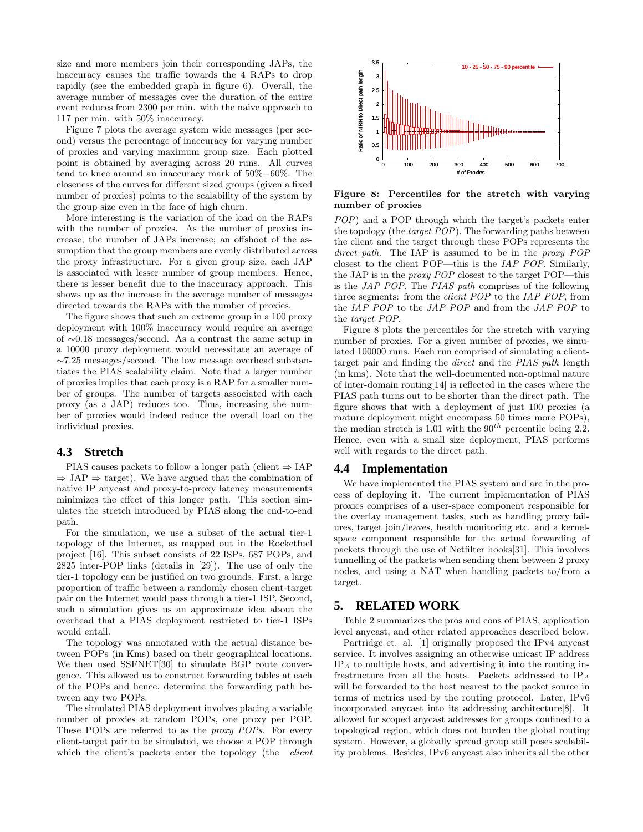size and more members join their corresponding JAPs, the inaccuracy causes the traffic towards the 4 RAPs to drop rapidly (see the embedded graph in figure 6). Overall, the average number of messages over the duration of the entire event reduces from 2300 per min. with the naive approach to 117 per min. with 50% inaccuracy.

Figure 7 plots the average system wide messages (per second) versus the percentage of inaccuracy for varying number of proxies and varying maximum group size. Each plotted point is obtained by averaging across 20 runs. All curves tend to knee around an inaccuracy mark of 50%−60%. The closeness of the curves for different sized groups (given a fixed number of proxies) points to the scalability of the system by the group size even in the face of high churn.

More interesting is the variation of the load on the RAPs with the number of proxies. As the number of proxies increase, the number of JAPs increase; an offshoot of the assumption that the group members are evenly distributed across the proxy infrastructure. For a given group size, each JAP is associated with lesser number of group members. Hence, there is lesser benefit due to the inaccuracy approach. This shows up as the increase in the average number of messages directed towards the RAPs with the number of proxies.

The figure shows that such an extreme group in a 100 proxy deployment with 100% inaccuracy would require an average of ∼0.18 messages/second. As a contrast the same setup in a 10000 proxy deployment would necessitate an average of ∼7.25 messages/second. The low message overhead substantiates the PIAS scalability claim. Note that a larger number of proxies implies that each proxy is a RAP for a smaller number of groups. The number of targets associated with each proxy (as a JAP) reduces too. Thus, increasing the number of proxies would indeed reduce the overall load on the individual proxies.

## **4.3 Stretch**

PIAS causes packets to follow a longer path (client  $\Rightarrow$  IAP  $\Rightarrow$  JAP  $\Rightarrow$  target). We have argued that the combination of native IP anycast and proxy-to-proxy latency measurements minimizes the effect of this longer path. This section simulates the stretch introduced by PIAS along the end-to-end path.

For the simulation, we use a subset of the actual tier-1 topology of the Internet, as mapped out in the Rocketfuel project [16]. This subset consists of 22 ISPs, 687 POPs, and 2825 inter-POP links (details in [29]). The use of only the tier-1 topology can be justified on two grounds. First, a large proportion of traffic between a randomly chosen client-target pair on the Internet would pass through a tier-1 ISP. Second, such a simulation gives us an approximate idea about the overhead that a PIAS deployment restricted to tier-1 ISPs would entail.

The topology was annotated with the actual distance between POPs (in Kms) based on their geographical locations. We then used SSFNET[30] to simulate BGP route convergence. This allowed us to construct forwarding tables at each of the POPs and hence, determine the forwarding path between any two POPs.

The simulated PIAS deployment involves placing a variable number of proxies at random POPs, one proxy per POP. These POPs are referred to as the *proxy POPs*. For every client-target pair to be simulated, we choose a POP through which the client's packets enter the topology (the *client* 



Figure 8: Percentiles for the stretch with varying number of proxies

POP) and a POP through which the target's packets enter the topology (the target POP). The forwarding paths between the client and the target through these POPs represents the direct path. The IAP is assumed to be in the proxy POP closest to the client POP—this is the IAP POP. Similarly, the JAP is in the proxy POP closest to the target POP—this is the JAP POP. The PIAS path comprises of the following three segments: from the *client POP* to the *IAP POP*, from the IAP POP to the JAP POP and from the JAP POP to the target POP.

Figure 8 plots the percentiles for the stretch with varying number of proxies. For a given number of proxies, we simulated 100000 runs. Each run comprised of simulating a clienttarget pair and finding the direct and the PIAS path length (in kms). Note that the well-documented non-optimal nature of inter-domain routing[14] is reflected in the cases where the PIAS path turns out to be shorter than the direct path. The figure shows that with a deployment of just 100 proxies (a mature deployment might encompass 50 times more POPs), the median stretch is 1.01 with the  $90^{th}$  percentile being 2.2. Hence, even with a small size deployment, PIAS performs well with regards to the direct path.

## **4.4 Implementation**

We have implemented the PIAS system and are in the process of deploying it. The current implementation of PIAS proxies comprises of a user-space component responsible for the overlay management tasks, such as handling proxy failures, target join/leaves, health monitoring etc. and a kernelspace component responsible for the actual forwarding of packets through the use of Netfilter hooks[31]. This involves tunnelling of the packets when sending them between 2 proxy nodes, and using a NAT when handling packets to/from a target.

## **5. RELATED WORK**

Table 2 summarizes the pros and cons of PIAS, application level anycast, and other related approaches described below.

Partridge et. al. [1] originally proposed the IPv4 anycast service. It involves assigning an otherwise unicast IP address  $IP<sub>A</sub>$  to multiple hosts, and advertising it into the routing infrastructure from all the hosts. Packets addressed to  $IP_A$ will be forwarded to the host nearest to the packet source in terms of metrics used by the routing protocol. Later, IPv6 incorporated anycast into its addressing architecture[8]. It allowed for scoped anycast addresses for groups confined to a topological region, which does not burden the global routing system. However, a globally spread group still poses scalability problems. Besides, IPv6 anycast also inherits all the other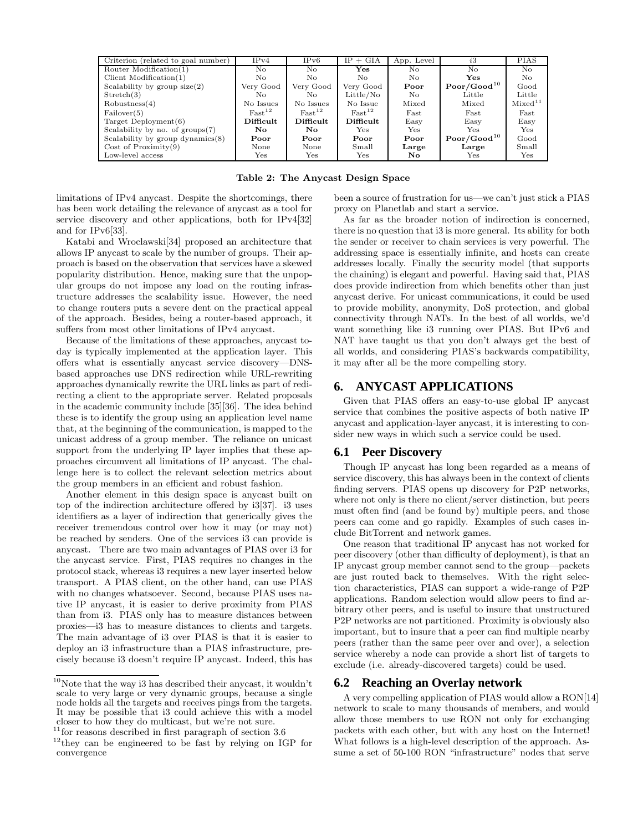| Criterion (related to goal number)  | IPv4         | IPv6         | $IP + GIA$  | App. Level | i3                   | <b>PIAS</b>         |
|-------------------------------------|--------------|--------------|-------------|------------|----------------------|---------------------|
| Router Modification(1)              | No           | No           | Yes         | No.        | No                   | No                  |
| $Client$ Modification $(1)$         | No.          | No.          | No.         | No.        | Yes                  | No.                 |
| Scalability by group $size(2)$      | Very Good    | Very Good    | Very Good   | Poor       | $\rm Poor/Good^{10}$ | Good                |
| Stretch(3)                          | No.          | No.          | Little/No   | No.        | Little               | Little              |
| Robustness(4)                       | No Issues    | No Issues    | No Issue    | Mixed      | Mixed                | Mixed <sup>11</sup> |
| Failover(5)                         | $Fast^{12}$  | $Fast^{12}$  | $Fast^{12}$ | Fast       | Fast                 | Fast                |
| Target Deployment $(6)$             | Difficult    | Difficult    | Difficult   | Easy       | Easy                 | Easy                |
| Scalability by no. of $groups(7)$   | No.          | No.          | Yes         | Yes        | Yes                  | Yes                 |
| Scalability by group dynamics $(8)$ | Poor         | Poor         | Poor        | Poor       | $\rm Poor/Good^{10}$ | Good                |
| Cost of $Proximity(9)$              | None         | None         | Small       | Large      | Large                | Small               |
| Low-level access                    | $_{\rm Yes}$ | $_{\rm Yes}$ | Yes         | No         | Yes                  | Yes                 |

Table 2: The Anycast Design Space

limitations of IPv4 anycast. Despite the shortcomings, there has been work detailing the relevance of anycast as a tool for service discovery and other applications, both for IPv4[32] and for IPv6[33].

Katabi and Wroclawski[34] proposed an architecture that allows IP anycast to scale by the number of groups. Their approach is based on the observation that services have a skewed popularity distribution. Hence, making sure that the unpopular groups do not impose any load on the routing infrastructure addresses the scalability issue. However, the need to change routers puts a severe dent on the practical appeal of the approach. Besides, being a router-based approach, it suffers from most other limitations of IPv4 anycast.

Because of the limitations of these approaches, anycast today is typically implemented at the application layer. This offers what is essentially anycast service discovery—DNSbased approaches use DNS redirection while URL-rewriting approaches dynamically rewrite the URL links as part of redirecting a client to the appropriate server. Related proposals in the academic community include [35][36]. The idea behind these is to identify the group using an application level name that, at the beginning of the communication, is mapped to the unicast address of a group member. The reliance on unicast support from the underlying IP layer implies that these approaches circumvent all limitations of IP anycast. The challenge here is to collect the relevant selection metrics about the group members in an efficient and robust fashion.

Another element in this design space is anycast built on top of the indirection architecture offered by i3[37]. i3 uses identifiers as a layer of indirection that generically gives the receiver tremendous control over how it may (or may not) be reached by senders. One of the services i3 can provide is anycast. There are two main advantages of PIAS over i3 for the anycast service. First, PIAS requires no changes in the protocol stack, whereas i3 requires a new layer inserted below transport. A PIAS client, on the other hand, can use PIAS with no changes whatsoever. Second, because PIAS uses native IP anycast, it is easier to derive proximity from PIAS than from i3. PIAS only has to measure distances between proxies—i3 has to measure distances to clients and targets. The main advantage of i3 over PIAS is that it is easier to deploy an i3 infrastructure than a PIAS infrastructure, precisely because i3 doesn't require IP anycast. Indeed, this has been a source of frustration for us—we can't just stick a PIAS proxy on Planetlab and start a service.

As far as the broader notion of indirection is concerned, there is no question that i3 is more general. Its ability for both the sender or receiver to chain services is very powerful. The addressing space is essentially infinite, and hosts can create addresses locally. Finally the security model (that supports the chaining) is elegant and powerful. Having said that, PIAS does provide indirection from which benefits other than just anycast derive. For unicast communications, it could be used to provide mobility, anonymity, DoS protection, and global connectivity through NATs. In the best of all worlds, we'd want something like i3 running over PIAS. But IPv6 and NAT have taught us that you don't always get the best of all worlds, and considering PIAS's backwards compatibility, it may after all be the more compelling story.

# **6. ANYCAST APPLICATIONS**

Given that PIAS offers an easy-to-use global IP anycast service that combines the positive aspects of both native IP anycast and application-layer anycast, it is interesting to consider new ways in which such a service could be used.

## **6.1 Peer Discovery**

Though IP anycast has long been regarded as a means of service discovery, this has always been in the context of clients finding servers. PIAS opens up discovery for P2P networks, where not only is there no client/server distinction, but peers must often find (and be found by) multiple peers, and those peers can come and go rapidly. Examples of such cases include BitTorrent and network games.

One reason that traditional IP anycast has not worked for peer discovery (other than difficulty of deployment), is that an IP anycast group member cannot send to the group—packets are just routed back to themselves. With the right selection characteristics, PIAS can support a wide-range of P2P applications. Random selection would allow peers to find arbitrary other peers, and is useful to insure that unstructured P2P networks are not partitioned. Proximity is obviously also important, but to insure that a peer can find multiple nearby peers (rather than the same peer over and over), a selection service whereby a node can provide a short list of targets to exclude (i.e. already-discovered targets) could be used.

## **6.2 Reaching an Overlay network**

A very compelling application of PIAS would allow a RON[14] network to scale to many thousands of members, and would allow those members to use RON not only for exchanging packets with each other, but with any host on the Internet! What follows is a high-level description of the approach. Assume a set of 50-100 RON "infrastructure" nodes that serve

 $^{10}\rm{Note}$  that the way i3 has described their anycast, it wouldn't scale to very large or very dynamic groups, because a single node holds all the targets and receives pings from the targets. It may be possible that i3 could achieve this with a model closer to how they do multicast, but we're not sure.

 $^{11}$  for reasons described in first paragraph of section 3.6

<sup>12</sup>they can be engineered to be fast by relying on IGP for convergence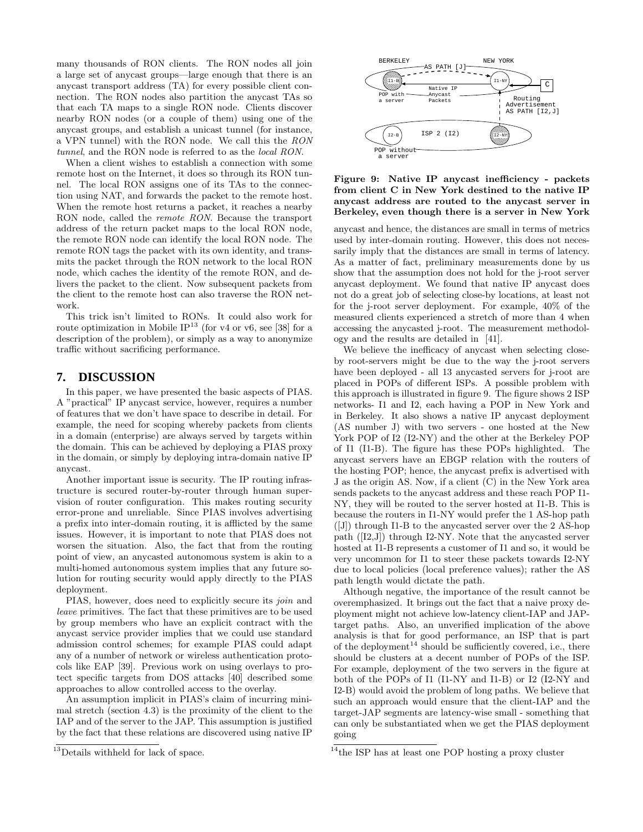many thousands of RON clients. The RON nodes all join a large set of anycast groups—large enough that there is an anycast transport address (TA) for every possible client connection. The RON nodes also partition the anycast TAs so that each TA maps to a single RON node. Clients discover nearby RON nodes (or a couple of them) using one of the anycast groups, and establish a unicast tunnel (for instance, a VPN tunnel) with the RON node. We call this the RON tunnel, and the RON node is referred to as the local RON.

When a client wishes to establish a connection with some remote host on the Internet, it does so through its RON tunnel. The local RON assigns one of its TAs to the connection using NAT, and forwards the packet to the remote host. When the remote host returns a packet, it reaches a nearby RON node, called the remote RON. Because the transport address of the return packet maps to the local RON node, the remote RON node can identify the local RON node. The remote RON tags the packet with its own identity, and transmits the packet through the RON network to the local RON node, which caches the identity of the remote RON, and delivers the packet to the client. Now subsequent packets from the client to the remote host can also traverse the RON network.

This trick isn't limited to RONs. It could also work for route optimization in Mobile IP<sup>13</sup> (for v4 or v6, see [38] for a description of the problem), or simply as a way to anonymize traffic without sacrificing performance.

## **7. DISCUSSION**

In this paper, we have presented the basic aspects of PIAS. A "practical" IP anycast service, however, requires a number of features that we don't have space to describe in detail. For example, the need for scoping whereby packets from clients in a domain (enterprise) are always served by targets within the domain. This can be achieved by deploying a PIAS proxy in the domain, or simply by deploying intra-domain native IP anycast.

Another important issue is security. The IP routing infrastructure is secured router-by-router through human supervision of router configuration. This makes routing security error-prone and unreliable. Since PIAS involves advertising a prefix into inter-domain routing, it is afflicted by the same issues. However, it is important to note that PIAS does not worsen the situation. Also, the fact that from the routing point of view, an anycasted autonomous system is akin to a multi-homed autonomous system implies that any future solution for routing security would apply directly to the PIAS deployment.

PIAS, however, does need to explicitly secure its join and leave primitives. The fact that these primitives are to be used by group members who have an explicit contract with the anycast service provider implies that we could use standard admission control schemes; for example PIAS could adapt any of a number of network or wireless authentication protocols like EAP [39]. Previous work on using overlays to protect specific targets from DOS attacks [40] described some approaches to allow controlled access to the overlay.

An assumption implicit in PIAS's claim of incurring minimal stretch (section 4.3) is the proximity of the client to the IAP and of the server to the JAP. This assumption is justified by the fact that these relations are discovered using native IP



#### Figure 9: Native IP anycast inefficiency - packets from client C in New York destined to the native IP anycast address are routed to the anycast server in Berkeley, even though there is a server in New York

anycast and hence, the distances are small in terms of metrics used by inter-domain routing. However, this does not necessarily imply that the distances are small in terms of latency. As a matter of fact, preliminary measurements done by us show that the assumption does not hold for the j-root server anycast deployment. We found that native IP anycast does not do a great job of selecting close-by locations, at least not for the j-root server deployment. For example, 40% of the measured clients experienced a stretch of more than 4 when accessing the anycasted j-root. The measurement methodology and the results are detailed in [41].

We believe the inefficacy of any cast when selecting closeby root-servers might be due to the way the j-root servers have been deployed - all 13 any casted servers for *i*-root are placed in POPs of different ISPs. A possible problem with this approach is illustrated in figure 9. The figure shows 2 ISP networks- I1 and I2, each having a POP in New York and in Berkeley. It also shows a native IP anycast deployment (AS number J) with two servers - one hosted at the New York POP of I2 (I2-NY) and the other at the Berkeley POP of I1 (I1-B). The figure has these POPs highlighted. The anycast servers have an EBGP relation with the routers of the hosting POP; hence, the anycast prefix is advertised with J as the origin AS. Now, if a client (C) in the New York area sends packets to the anycast address and these reach POP I1- NY, they will be routed to the server hosted at I1-B. This is because the routers in I1-NY would prefer the 1 AS-hop path ([J]) through I1-B to the anycasted server over the 2 AS-hop path ([I2,J]) through I2-NY. Note that the anycasted server hosted at I1-B represents a customer of I1 and so, it would be very uncommon for I1 to steer these packets towards I2-NY due to local policies (local preference values); rather the AS path length would dictate the path.

Although negative, the importance of the result cannot be overemphasized. It brings out the fact that a naive proxy deployment might not achieve low-latency client-IAP and JAPtarget paths. Also, an unverified implication of the above analysis is that for good performance, an ISP that is part of the deployment<sup>14</sup> should be sufficiently covered, i.e., there should be clusters at a decent number of POPs of the ISP. For example, deployment of the two servers in the figure at both of the POPs of I1 (I1-NY and I1-B) or I2 (I2-NY and I2-B) would avoid the problem of long paths. We believe that such an approach would ensure that the client-IAP and the target-JAP segments are latency-wise small - something that can only be substantiated when we get the PIAS deployment going

<sup>&</sup>lt;sup>13</sup>Details withheld for lack of space.

<sup>14</sup>the ISP has at least one POP hosting a proxy cluster